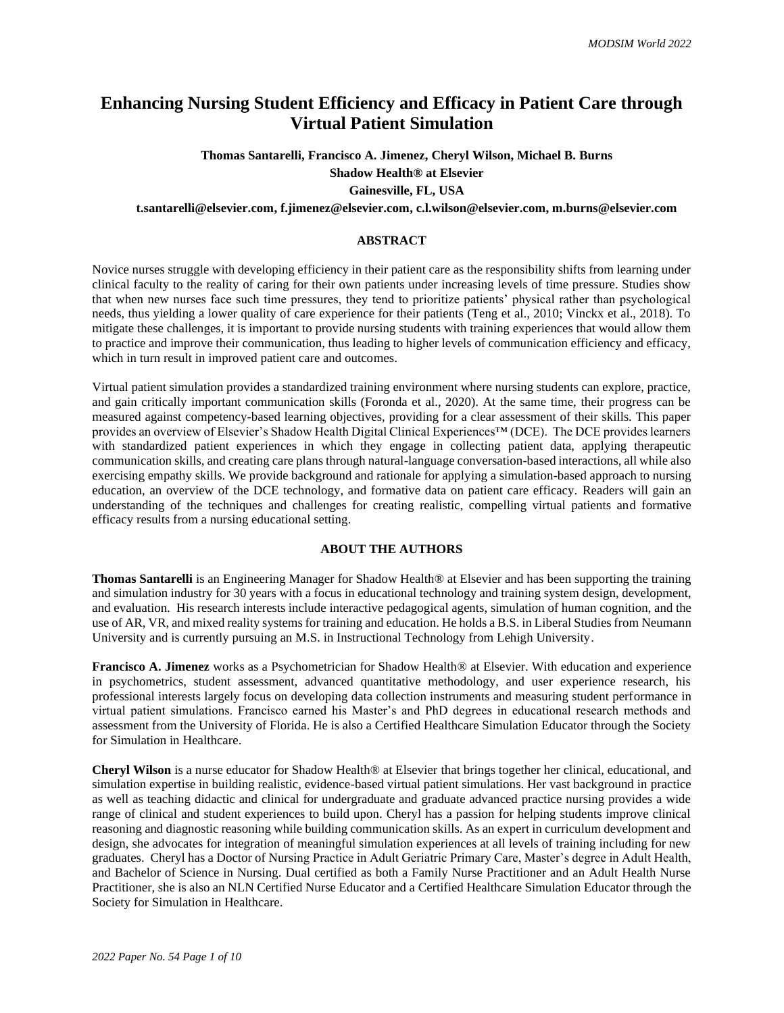# **Enhancing Nursing Student Efficiency and Efficacy in Patient Care through Virtual Patient Simulation**

**Thomas Santarelli, Francisco A. Jimenez, Cheryl Wilson, Michael B. Burns Shadow Health® at Elsevier Gainesville, FL, USA**

**t.santarelli@elsevier.com, f.jimenez@elsevier.com, c.l.wilson@elsevier.com, m.burns@elsevier.com**

## **ABSTRACT**

Novice nurses struggle with developing efficiency in their patient care as the responsibility shifts from learning under clinical faculty to the reality of caring for their own patients under increasing levels of time pressure. Studies show that when new nurses face such time pressures, they tend to prioritize patients' physical rather than psychological needs, thus yielding a lower quality of care experience for their patients (Teng et al., 2010; Vinckx et al., 2018). To mitigate these challenges, it is important to provide nursing students with training experiences that would allow them to practice and improve their communication, thus leading to higher levels of communication efficiency and efficacy, which in turn result in improved patient care and outcomes.

Virtual patient simulation provides a standardized training environment where nursing students can explore, practice, and gain critically important communication skills (Foronda et al., 2020). At the same time, their progress can be measured against competency-based learning objectives, providing for a clear assessment of their skills. This paper provides an overview of Elsevier's Shadow Health Digital Clinical Experiences™ (DCE). The DCE provides learners with standardized patient experiences in which they engage in collecting patient data, applying therapeutic communication skills, and creating care plans through natural-language conversation-based interactions, all while also exercising empathy skills. We provide background and rationale for applying a simulation-based approach to nursing education, an overview of the DCE technology, and formative data on patient care efficacy. Readers will gain an understanding of the techniques and challenges for creating realistic, compelling virtual patients and formative efficacy results from a nursing educational setting.

## **ABOUT THE AUTHORS**

**Thomas Santarelli** is an Engineering Manager for Shadow Health® at Elsevier and has been supporting the training and simulation industry for 30 years with a focus in educational technology and training system design, development, and evaluation. His research interests include interactive pedagogical agents, simulation of human cognition, and the use of AR, VR, and mixed reality systems for training and education. He holds a B.S. in Liberal Studies from Neumann University and is currently pursuing an M.S. in Instructional Technology from Lehigh University.

**Francisco A. Jimenez** works as a Psychometrician for Shadow Health® at Elsevier. With education and experience in psychometrics, student assessment, advanced quantitative methodology, and user experience research, his professional interests largely focus on developing data collection instruments and measuring student performance in virtual patient simulations. Francisco earned his Master's and PhD degrees in educational research methods and assessment from the University of Florida. He is also a Certified Healthcare Simulation Educator through the Society for Simulation in Healthcare.

**Cheryl Wilson** is a nurse educator for Shadow Health® at Elsevier that brings together her clinical, educational, and simulation expertise in building realistic, evidence-based virtual patient simulations. Her vast background in practice as well as teaching didactic and clinical for undergraduate and graduate advanced practice nursing provides a wide range of clinical and student experiences to build upon. Cheryl has a passion for helping students improve clinical reasoning and diagnostic reasoning while building communication skills. As an expert in curriculum development and design, she advocates for integration of meaningful simulation experiences at all levels of training including for new graduates. Cheryl has a Doctor of Nursing Practice in Adult Geriatric Primary Care, Master's degree in Adult Health, and Bachelor of Science in Nursing. Dual certified as both a Family Nurse Practitioner and an Adult Health Nurse Practitioner, she is also an NLN Certified Nurse Educator and a Certified Healthcare Simulation Educator through the Society for Simulation in Healthcare.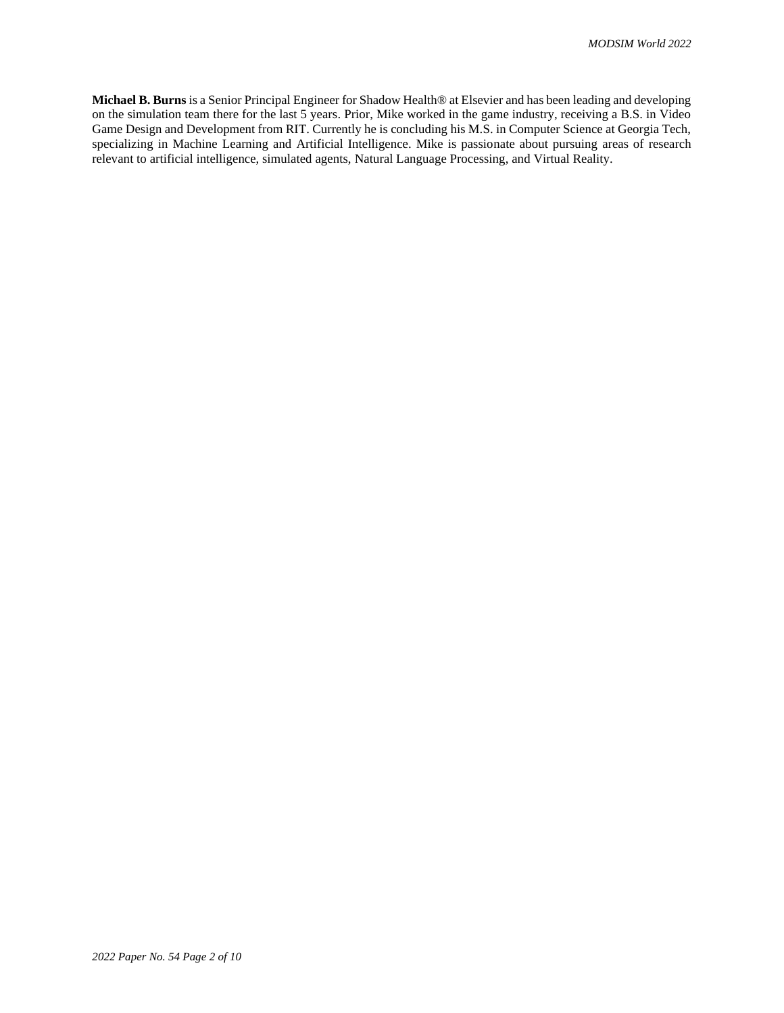**Michael B. Burns** is a Senior Principal Engineer for Shadow Health® at Elsevier and has been leading and developing on the simulation team there for the last 5 years. Prior, Mike worked in the game industry, receiving a B.S. in Video Game Design and Development from RIT. Currently he is concluding his M.S. in Computer Science at Georgia Tech, specializing in Machine Learning and Artificial Intelligence. Mike is passionate about pursuing areas of research relevant to artificial intelligence, simulated agents, Natural Language Processing, and Virtual Reality.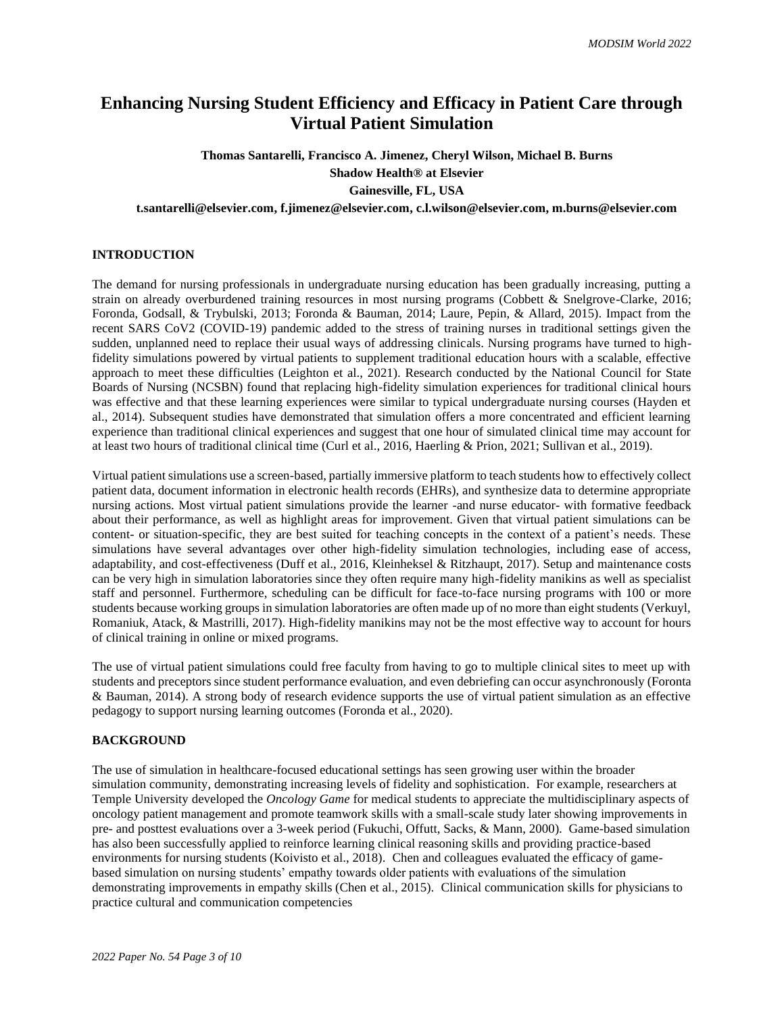# **Enhancing Nursing Student Efficiency and Efficacy in Patient Care through Virtual Patient Simulation**

**Thomas Santarelli, Francisco A. Jimenez, Cheryl Wilson, Michael B. Burns Shadow Health® at Elsevier Gainesville, FL, USA t.santarelli@elsevier.com, f.jimenez@elsevier.com, c.l.wilson@elsevier.com, m.burns@elsevier.com**

## **INTRODUCTION**

The demand for nursing professionals in undergraduate nursing education has been gradually increasing, putting a strain on already overburdened training resources in most nursing programs (Cobbett & Snelgrove-Clarke, 2016; Foronda, Godsall, & Trybulski, 2013; Foronda & Bauman, 2014; Laure, Pepin, & Allard, 2015). Impact from the recent SARS CoV2 (COVID-19) pandemic added to the stress of training nurses in traditional settings given the sudden, unplanned need to replace their usual ways of addressing clinicals. Nursing programs have turned to highfidelity simulations powered by virtual patients to supplement traditional education hours with a scalable, effective approach to meet these difficulties (Leighton et al., 2021). Research conducted by the National Council for State Boards of Nursing (NCSBN) found that replacing high-fidelity simulation experiences for traditional clinical hours was effective and that these learning experiences were similar to typical undergraduate nursing courses (Hayden et al., 2014). Subsequent studies have demonstrated that simulation offers a more concentrated and efficient learning experience than traditional clinical experiences and suggest that one hour of simulated clinical time may account for at least two hours of traditional clinical time (Curl et al., 2016, Haerling & Prion, 2021; Sullivan et al., 2019).

Virtual patient simulations use a screen-based, partially immersive platform to teach students how to effectively collect patient data, document information in electronic health records (EHRs), and synthesize data to determine appropriate nursing actions. Most virtual patient simulations provide the learner -and nurse educator- with formative feedback about their performance, as well as highlight areas for improvement. Given that virtual patient simulations can be content- or situation-specific, they are best suited for teaching concepts in the context of a patient's needs. These simulations have several advantages over other high-fidelity simulation technologies, including ease of access, adaptability, and cost-effectiveness (Duff et al., 2016, Kleinheksel & Ritzhaupt, 2017). Setup and maintenance costs can be very high in simulation laboratories since they often require many high-fidelity manikins as well as specialist staff and personnel. Furthermore, scheduling can be difficult for face-to-face nursing programs with 100 or more students because working groups in simulation laboratories are often made up of no more than eight students (Verkuyl, Romaniuk, Atack, & Mastrilli, 2017). High-fidelity manikins may not be the most effective way to account for hours of clinical training in online or mixed programs.

The use of virtual patient simulations could free faculty from having to go to multiple clinical sites to meet up with students and preceptors since student performance evaluation, and even debriefing can occur asynchronously (Foronta & Bauman, 2014). A strong body of research evidence supports the use of virtual patient simulation as an effective pedagogy to support nursing learning outcomes (Foronda et al., 2020).

### **BACKGROUND**

The use of simulation in healthcare-focused educational settings has seen growing user within the broader simulation community, demonstrating increasing levels of fidelity and sophistication. For example, researchers at Temple University developed the *Oncology Game* for medical students to appreciate the multidisciplinary aspects of oncology patient management and promote teamwork skills with a small-scale study later showing improvements in pre- and posttest evaluations over a 3-week period (Fukuchi, Offutt, Sacks, & Mann, 2000). Game-based simulation has also been successfully applied to reinforce learning clinical reasoning skills and providing practice-based environments for nursing students (Koivisto et al., 2018). Chen and colleagues evaluated the efficacy of gamebased simulation on nursing students' empathy towards older patients with evaluations of the simulation demonstrating improvements in empathy skills (Chen et al., 2015). Clinical communication skills for physicians to practice cultural and communication competencies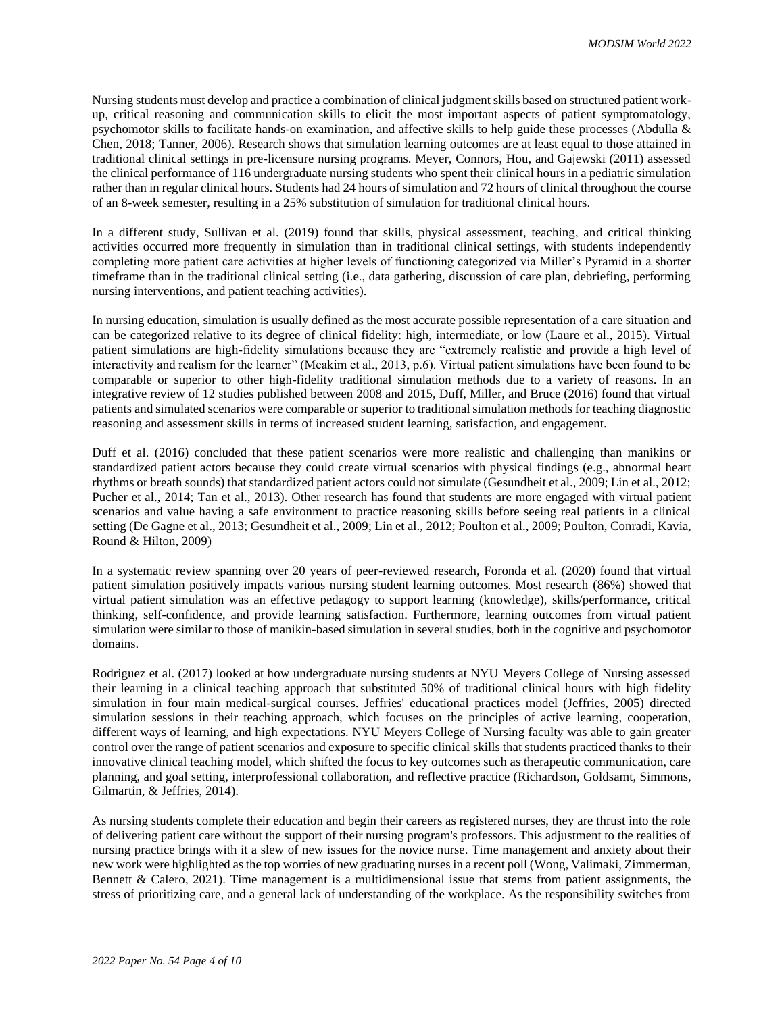Nursing students must develop and practice a combination of clinical judgment skills based on structured patient workup, critical reasoning and communication skills to elicit the most important aspects of patient symptomatology, psychomotor skills to facilitate hands-on examination, and affective skills to help guide these processes (Abdulla & Chen, 2018; Tanner, 2006). Research shows that simulation learning outcomes are at least equal to those attained in traditional clinical settings in pre-licensure nursing programs. Meyer, Connors, Hou, and Gajewski (2011) assessed the clinical performance of 116 undergraduate nursing students who spent their clinical hours in a pediatric simulation rather than in regular clinical hours. Students had 24 hours of simulation and 72 hours of clinical throughout the course of an 8-week semester, resulting in a 25% substitution of simulation for traditional clinical hours.

In a different study, Sullivan et al. (2019) found that skills, physical assessment, teaching, and critical thinking activities occurred more frequently in simulation than in traditional clinical settings, with students independently completing more patient care activities at higher levels of functioning categorized via Miller's Pyramid in a shorter timeframe than in the traditional clinical setting (i.e., data gathering, discussion of care plan, debriefing, performing nursing interventions, and patient teaching activities).

In nursing education, simulation is usually defined as the most accurate possible representation of a care situation and can be categorized relative to its degree of clinical fidelity: high, intermediate, or low (Laure et al., 2015). Virtual patient simulations are high-fidelity simulations because they are "extremely realistic and provide a high level of interactivity and realism for the learner" (Meakim et al., 2013, p.6). Virtual patient simulations have been found to be comparable or superior to other high-fidelity traditional simulation methods due to a variety of reasons. In an integrative review of 12 studies published between 2008 and 2015, Duff, Miller, and Bruce (2016) found that virtual patients and simulated scenarios were comparable or superior to traditional simulation methods for teaching diagnostic reasoning and assessment skills in terms of increased student learning, satisfaction, and engagement.

Duff et al. (2016) concluded that these patient scenarios were more realistic and challenging than manikins or standardized patient actors because they could create virtual scenarios with physical findings (e.g., abnormal heart rhythms or breath sounds) that standardized patient actors could not simulate (Gesundheit et al., 2009; Lin et al., 2012; Pucher et al., 2014; Tan et al., 2013). Other research has found that students are more engaged with virtual patient scenarios and value having a safe environment to practice reasoning skills before seeing real patients in a clinical setting (De Gagne et al., 2013; Gesundheit et al., 2009; Lin et al., 2012; Poulton et al., 2009; Poulton, Conradi, Kavia, Round & Hilton, 2009)

In a systematic review spanning over 20 years of peer-reviewed research, Foronda et al. (2020) found that virtual patient simulation positively impacts various nursing student learning outcomes. Most research (86%) showed that virtual patient simulation was an effective pedagogy to support learning (knowledge), skills/performance, critical thinking, self-confidence, and provide learning satisfaction. Furthermore, learning outcomes from virtual patient simulation were similar to those of manikin-based simulation in several studies, both in the cognitive and psychomotor domains.

Rodriguez et al. (2017) looked at how undergraduate nursing students at NYU Meyers College of Nursing assessed their learning in a clinical teaching approach that substituted 50% of traditional clinical hours with high fidelity simulation in four main medical-surgical courses. Jeffries' educational practices model (Jeffries, 2005) directed simulation sessions in their teaching approach, which focuses on the principles of active learning, cooperation, different ways of learning, and high expectations. NYU Meyers College of Nursing faculty was able to gain greater control over the range of patient scenarios and exposure to specific clinical skills that students practiced thanks to their innovative clinical teaching model, which shifted the focus to key outcomes such as therapeutic communication, care planning, and goal setting, interprofessional collaboration, and reflective practice (Richardson, Goldsamt, Simmons, Gilmartin, & Jeffries, 2014).

As nursing students complete their education and begin their careers as registered nurses, they are thrust into the role of delivering patient care without the support of their nursing program's professors. This adjustment to the realities of nursing practice brings with it a slew of new issues for the novice nurse. Time management and anxiety about their new work were highlighted as the top worries of new graduating nurses in a recent poll (Wong, Valimaki, Zimmerman, Bennett & Calero, 2021). Time management is a multidimensional issue that stems from patient assignments, the stress of prioritizing care, and a general lack of understanding of the workplace. As the responsibility switches from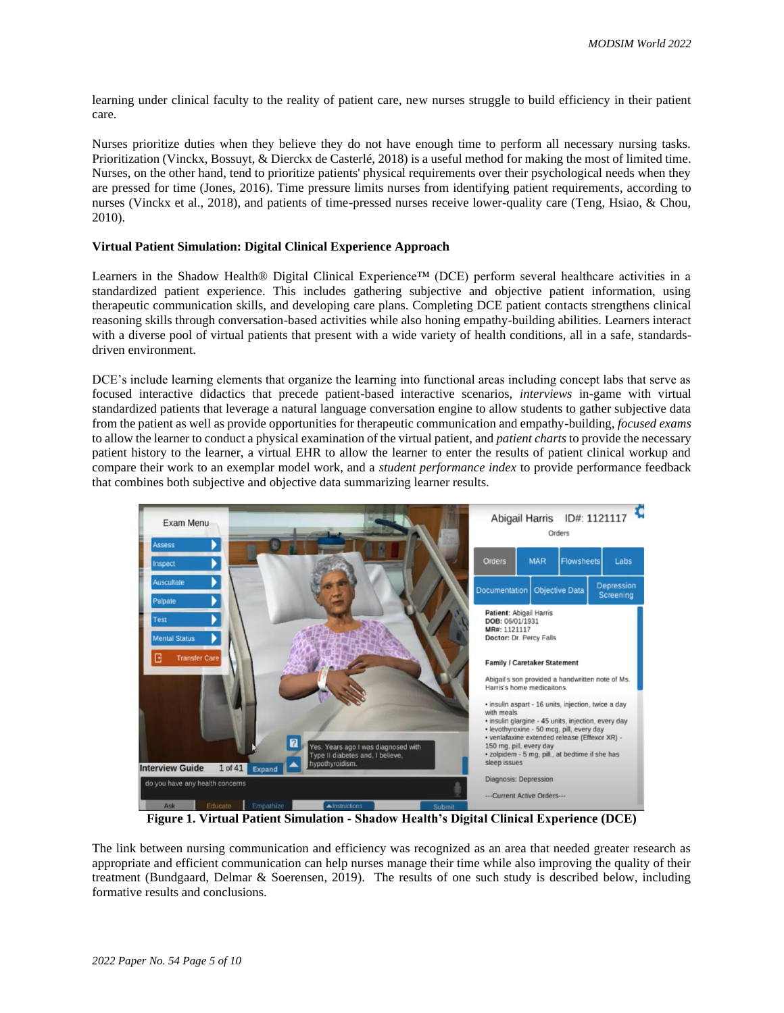learning under clinical faculty to the reality of patient care, new nurses struggle to build efficiency in their patient care.

Nurses prioritize duties when they believe they do not have enough time to perform all necessary nursing tasks. Prioritization (Vinckx, Bossuyt, & Dierckx de Casterlé, 2018) is a useful method for making the most of limited time. Nurses, on the other hand, tend to prioritize patients' physical requirements over their psychological needs when they are pressed for time (Jones, 2016). Time pressure limits nurses from identifying patient requirements, according to nurses (Vinckx et al., 2018), and patients of time-pressed nurses receive lower-quality care (Teng, Hsiao, & Chou, 2010).

### **Virtual Patient Simulation: Digital Clinical Experience Approach**

Learners in the Shadow Health® Digital Clinical Experience™ (DCE) perform several healthcare activities in a standardized patient experience. This includes gathering subjective and objective patient information, using therapeutic communication skills, and developing care plans. Completing DCE patient contacts strengthens clinical reasoning skills through conversation-based activities while also honing empathy-building abilities. Learners interact with a diverse pool of virtual patients that present with a wide variety of health conditions, all in a safe, standardsdriven environment.

DCE's include learning elements that organize the learning into functional areas including concept labs that serve as focused interactive didactics that precede patient-based interactive scenarios, *interviews* in-game with virtual standardized patients that leverage a natural language conversation engine to allow students to gather subjective data from the patient as well as provide opportunities for therapeutic communication and empathy-building, *focused exams* to allow the learner to conduct a physical examination of the virtual patient, and *patient charts* to provide the necessary patient history to the learner, a virtual EHR to allow the learner to enter the results of patient clinical workup and compare their work to an exemplar model work, and a *student performance index* to provide performance feedback that combines both subjective and objective data summarizing learner results.



**Figure 1. Virtual Patient Simulation - Shadow Health's Digital Clinical Experience (DCE)**

The link between nursing communication and efficiency was recognized as an area that needed greater research as appropriate and efficient communication can help nurses manage their time while also improving the quality of their treatment (Bundgaard, Delmar & Soerensen, 2019). The results of one such study is described below, including formative results and conclusions.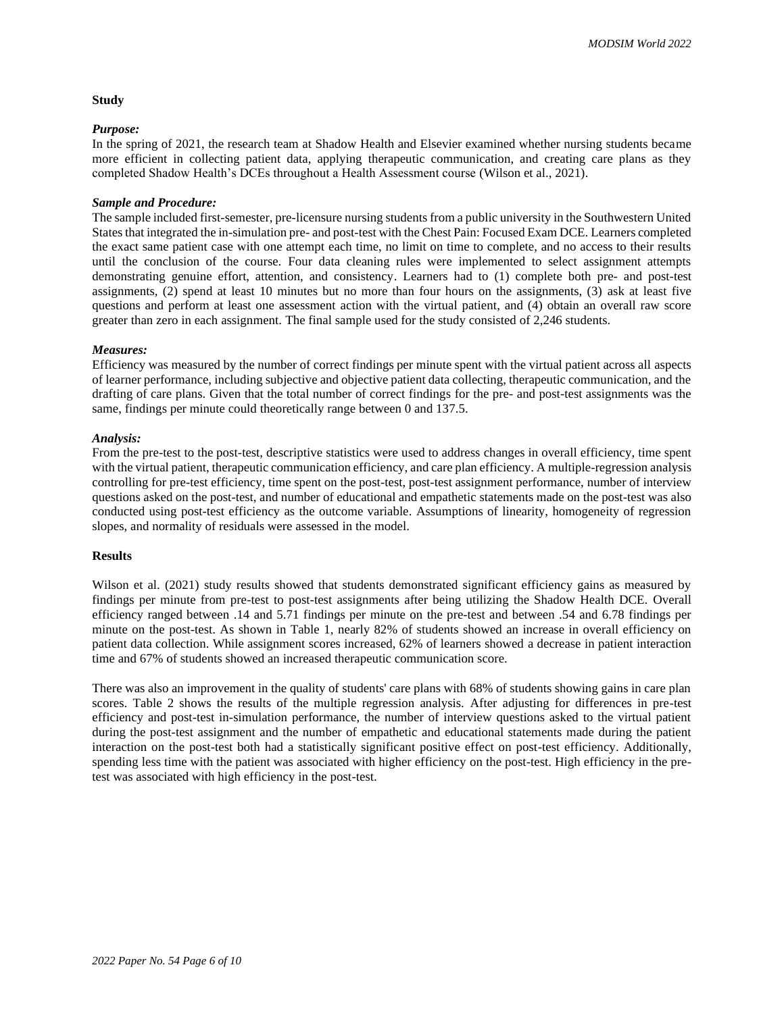#### **Study**

#### *Purpose:*

In the spring of 2021, the research team at Shadow Health and Elsevier examined whether nursing students became more efficient in collecting patient data, applying therapeutic communication, and creating care plans as they completed Shadow Health's DCEs throughout a Health Assessment course (Wilson et al., 2021).

## *Sample and Procedure:*

The sample included first-semester, pre-licensure nursing students from a public university in the Southwestern United States that integrated the in-simulation pre- and post-test with the Chest Pain: Focused Exam DCE. Learners completed the exact same patient case with one attempt each time, no limit on time to complete, and no access to their results until the conclusion of the course. Four data cleaning rules were implemented to select assignment attempts demonstrating genuine effort, attention, and consistency. Learners had to (1) complete both pre- and post-test assignments, (2) spend at least 10 minutes but no more than four hours on the assignments, (3) ask at least five questions and perform at least one assessment action with the virtual patient, and (4) obtain an overall raw score greater than zero in each assignment. The final sample used for the study consisted of 2,246 students.

#### *Measures:*

Efficiency was measured by the number of correct findings per minute spent with the virtual patient across all aspects of learner performance, including subjective and objective patient data collecting, therapeutic communication, and the drafting of care plans. Given that the total number of correct findings for the pre- and post-test assignments was the same, findings per minute could theoretically range between 0 and 137.5.

#### *Analysis:*

From the pre-test to the post-test, descriptive statistics were used to address changes in overall efficiency, time spent with the virtual patient, therapeutic communication efficiency, and care plan efficiency. A multiple-regression analysis controlling for pre-test efficiency, time spent on the post-test, post-test assignment performance, number of interview questions asked on the post-test, and number of educational and empathetic statements made on the post-test was also conducted using post-test efficiency as the outcome variable. Assumptions of linearity, homogeneity of regression slopes, and normality of residuals were assessed in the model.

### **Results**

Wilson et al. (2021) study results showed that students demonstrated significant efficiency gains as measured by findings per minute from pre-test to post-test assignments after being utilizing the Shadow Health DCE. Overall efficiency ranged between .14 and 5.71 findings per minute on the pre-test and between .54 and 6.78 findings per minute on the post-test. As shown in Table 1, nearly 82% of students showed an increase in overall efficiency on patient data collection. While assignment scores increased, 62% of learners showed a decrease in patient interaction time and 67% of students showed an increased therapeutic communication score.

There was also an improvement in the quality of students' care plans with 68% of students showing gains in care plan scores. Table 2 shows the results of the multiple regression analysis. After adjusting for differences in pre-test efficiency and post-test in-simulation performance, the number of interview questions asked to the virtual patient during the post-test assignment and the number of empathetic and educational statements made during the patient interaction on the post-test both had a statistically significant positive effect on post-test efficiency. Additionally, spending less time with the patient was associated with higher efficiency on the post-test. High efficiency in the pretest was associated with high efficiency in the post-test.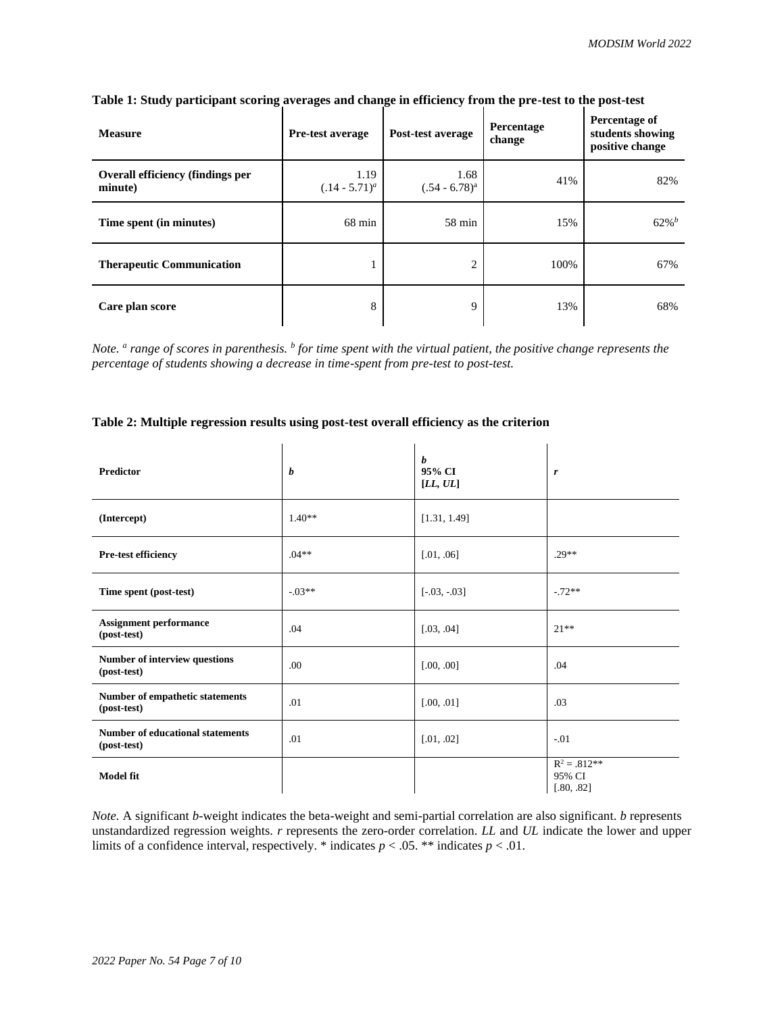| <b>Measure</b>                                     | <b>Pre-test average</b>  | Post-test average        | Percentage<br>change | Percentage of<br>students showing<br>positive change |
|----------------------------------------------------|--------------------------|--------------------------|----------------------|------------------------------------------------------|
| <b>Overall efficiency (findings per</b><br>minute) | 1.19<br>$(.14 - 5.71)^a$ | 1.68<br>$(.54 - 6.78)^a$ | 41%                  | 82%                                                  |
| Time spent (in minutes)                            | $68 \text{ min}$         | $58 \text{ min}$         | 15%                  | $62\%$ <sup>b</sup>                                  |
| <b>Therapeutic Communication</b>                   |                          | $\overline{2}$           | 100%                 | 67%                                                  |
| Care plan score                                    | 8                        | 9                        | 13%                  | 68%                                                  |

# **Table 1: Study participant scoring averages and change in efficiency from the pre-test to the post-test**

*Note. <sup>a</sup> range of scores in parenthesis. <sup>b</sup> for time spent with the virtual patient, the positive change represents the percentage of students showing a decrease in time-spent from pre-test to post-test.*

## **Table 2: Multiple regression results using post-test overall efficiency as the criterion**

| <b>Predictor</b>                                       | b        | $\boldsymbol{b}$<br>95% CI<br>[LL, UL] | r                                      |
|--------------------------------------------------------|----------|----------------------------------------|----------------------------------------|
| (Intercept)                                            | $1.40**$ | [1.31, 1.49]                           |                                        |
| Pre-test efficiency                                    | $.04**$  | [.01, .06]                             | $.29**$                                |
| Time spent (post-test)                                 | $-.03**$ | $[-.03, -.03]$                         | $-72**$                                |
| <b>Assignment performance</b><br>(post-test)           | .04      | [.03, .04]                             | $21**$                                 |
| Number of interview questions<br>(post-test)           | .00      | [.00, .00]                             | .04                                    |
| Number of empathetic statements<br>(post-test)         | .01      | [.00, .01]                             | .03                                    |
| <b>Number of educational statements</b><br>(post-test) | .01      | [.01, .02]                             | $-.01$                                 |
| <b>Model fit</b>                                       |          |                                        | $R^2 = .812**$<br>95% CI<br>[.80, .82] |

*Note.* A significant *b*-weight indicates the beta-weight and semi-partial correlation are also significant. *b* represents unstandardized regression weights. *r* represents the zero-order correlation. *LL* and *UL* indicate the lower and upper limits of a confidence interval, respectively. \* indicates  $p < .05$ . \*\* indicates  $p < .01$ .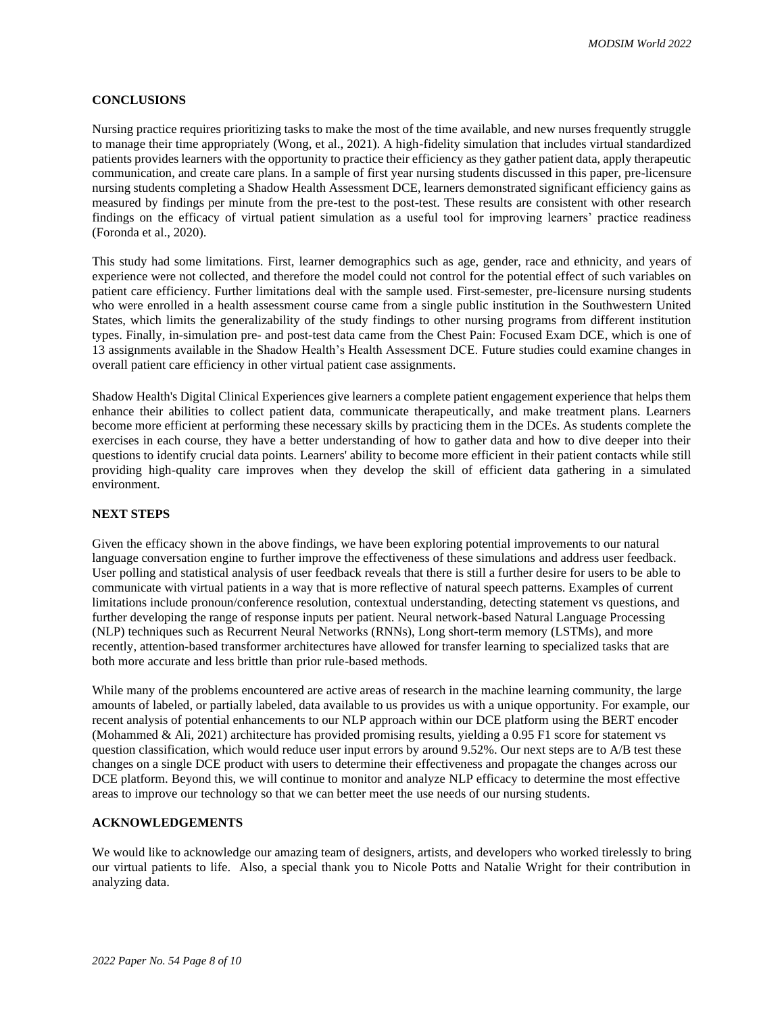## **CONCLUSIONS**

Nursing practice requires prioritizing tasks to make the most of the time available, and new nurses frequently struggle to manage their time appropriately (Wong, et al., 2021). A high-fidelity simulation that includes virtual standardized patients provides learners with the opportunity to practice their efficiency as they gather patient data, apply therapeutic communication, and create care plans. In a sample of first year nursing students discussed in this paper, pre-licensure nursing students completing a Shadow Health Assessment DCE, learners demonstrated significant efficiency gains as measured by findings per minute from the pre-test to the post-test. These results are consistent with other research findings on the efficacy of virtual patient simulation as a useful tool for improving learners' practice readiness (Foronda et al., 2020).

This study had some limitations. First, learner demographics such as age, gender, race and ethnicity, and years of experience were not collected, and therefore the model could not control for the potential effect of such variables on patient care efficiency. Further limitations deal with the sample used. First-semester, pre-licensure nursing students who were enrolled in a health assessment course came from a single public institution in the Southwestern United States, which limits the generalizability of the study findings to other nursing programs from different institution types. Finally, in-simulation pre- and post-test data came from the Chest Pain: Focused Exam DCE, which is one of 13 assignments available in the Shadow Health's Health Assessment DCE. Future studies could examine changes in overall patient care efficiency in other virtual patient case assignments.

Shadow Health's Digital Clinical Experiences give learners a complete patient engagement experience that helps them enhance their abilities to collect patient data, communicate therapeutically, and make treatment plans. Learners become more efficient at performing these necessary skills by practicing them in the DCEs. As students complete the exercises in each course, they have a better understanding of how to gather data and how to dive deeper into their questions to identify crucial data points. Learners' ability to become more efficient in their patient contacts while still providing high-quality care improves when they develop the skill of efficient data gathering in a simulated environment.

## **NEXT STEPS**

Given the efficacy shown in the above findings, we have been exploring potential improvements to our natural language conversation engine to further improve the effectiveness of these simulations and address user feedback. User polling and statistical analysis of user feedback reveals that there is still a further desire for users to be able to communicate with virtual patients in a way that is more reflective of natural speech patterns. Examples of current limitations include pronoun/conference resolution, contextual understanding, detecting statement vs questions, and further developing the range of response inputs per patient. Neural network-based Natural Language Processing (NLP) techniques such as Recurrent Neural Networks (RNNs), Long short-term memory (LSTMs), and more recently, attention-based transformer architectures have allowed for transfer learning to specialized tasks that are both more accurate and less brittle than prior rule-based methods.

While many of the problems encountered are active areas of research in the machine learning community, the large amounts of labeled, or partially labeled, data available to us provides us with a unique opportunity. For example, our recent analysis of potential enhancements to our NLP approach within our DCE platform using the BERT encoder (Mohammed & Ali, 2021) architecture has provided promising results, yielding a 0.95 F1 score for statement vs question classification, which would reduce user input errors by around 9.52%. Our next steps are to A/B test these changes on a single DCE product with users to determine their effectiveness and propagate the changes across our DCE platform. Beyond this, we will continue to monitor and analyze NLP efficacy to determine the most effective areas to improve our technology so that we can better meet the use needs of our nursing students.

## **ACKNOWLEDGEMENTS**

We would like to acknowledge our amazing team of designers, artists, and developers who worked tirelessly to bring our virtual patients to life. Also, a special thank you to Nicole Potts and Natalie Wright for their contribution in analyzing data.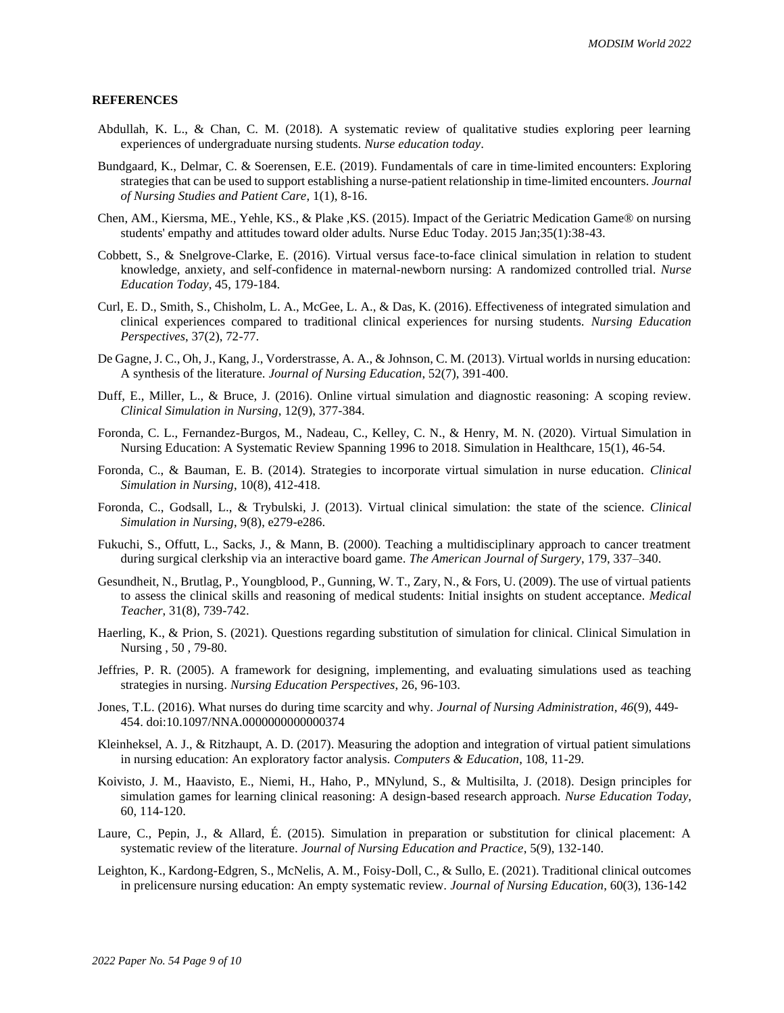## **REFERENCES**

- Abdullah, K. L., & Chan, C. M. (2018). A systematic review of qualitative studies exploring peer learning experiences of undergraduate nursing students. *Nurse education today*.
- Bundgaard, K., Delmar, C. & Soerensen, E.E. (2019). Fundamentals of care in time-limited encounters: Exploring strategies that can be used to support establishing a nurse-patient relationship in time-limited encounters. *Journal of Nursing Studies and Patient Care*, 1(1), 8-16.
- Chen, AM., Kiersma, ME., Yehle, KS., & Plake ,KS. (2015). Impact of the Geriatric Medication Game® on nursing students' empathy and attitudes toward older adults. Nurse Educ Today. 2015 Jan;35(1):38-43.
- Cobbett, S., & Snelgrove-Clarke, E. (2016). Virtual versus face-to-face clinical simulation in relation to student knowledge, anxiety, and self-confidence in maternal-newborn nursing: A randomized controlled trial. *Nurse Education Today*, 45, 179-184.
- Curl, E. D., Smith, S., Chisholm, L. A., McGee, L. A., & Das, K. (2016). Effectiveness of integrated simulation and clinical experiences compared to traditional clinical experiences for nursing students. *Nursing Education Perspectives*, 37(2), 72-77.
- De Gagne, J. C., Oh, J., Kang, J., Vorderstrasse, A. A., & Johnson, C. M. (2013). Virtual worlds in nursing education: A synthesis of the literature. *Journal of Nursing Education*, 52(7), 391-400.
- Duff, E., Miller, L., & Bruce, J. (2016). Online virtual simulation and diagnostic reasoning: A scoping review. *Clinical Simulation in Nursing*, 12(9), 377-384.
- Foronda, C. L., Fernandez-Burgos, M., Nadeau, C., Kelley, C. N., & Henry, M. N. (2020). Virtual Simulation in Nursing Education: A Systematic Review Spanning 1996 to 2018. Simulation in Healthcare, 15(1), 46-54.
- Foronda, C., & Bauman, E. B. (2014). Strategies to incorporate virtual simulation in nurse education. *Clinical Simulation in Nursing*, 10(8), 412-418.
- Foronda, C., Godsall, L., & Trybulski, J. (2013). Virtual clinical simulation: the state of the science. *Clinical Simulation in Nursing*, 9(8), e279-e286.
- Fukuchi, S., Offutt, L., Sacks, J., & Mann, B. (2000). Teaching a multidisciplinary approach to cancer treatment during surgical clerkship via an interactive board game. *The American Journal of Surgery*, 179, 337–340.
- Gesundheit, N., Brutlag, P., Youngblood, P., Gunning, W. T., Zary, N., & Fors, U. (2009). The use of virtual patients to assess the clinical skills and reasoning of medical students: Initial insights on student acceptance. *Medical Teacher*, 31(8), 739-742.
- Haerling, K., & Prion, S. (2021). Questions regarding substitution of simulation for clinical. Clinical Simulation in Nursing , 50 , 79-80.
- Jeffries, P. R. (2005). A framework for designing, implementing, and evaluating simulations used as teaching strategies in nursing. *Nursing Education Perspectives*, 26, 96-103.
- Jones, T.L. (2016). What nurses do during time scarcity and why. *Journal of Nursing Administration, 46*(9), 449- 454. doi:10.1097/NNA.0000000000000374
- Kleinheksel, A. J., & Ritzhaupt, A. D. (2017). Measuring the adoption and integration of virtual patient simulations in nursing education: An exploratory factor analysis. *Computers & Education*, 108, 11-29.
- Koivisto, J. M., Haavisto, E., Niemi, H., Haho, P., MNylund, S., & Multisilta, J. (2018). Design principles for simulation games for learning clinical reasoning: A design-based research approach. *Nurse Education Today*, 60, 114-120.
- Laure, C., Pepin, J., & Allard, É. (2015). Simulation in preparation or substitution for clinical placement: A systematic review of the literature. *Journal of Nursing Education and Practice*, 5(9), 132-140.
- Leighton, K., Kardong-Edgren, S., McNelis, A. M., Foisy-Doll, C., & Sullo, E. (2021). Traditional clinical outcomes in prelicensure nursing education: An empty systematic review. *Journal of Nursing Education*, 60(3), 136-142